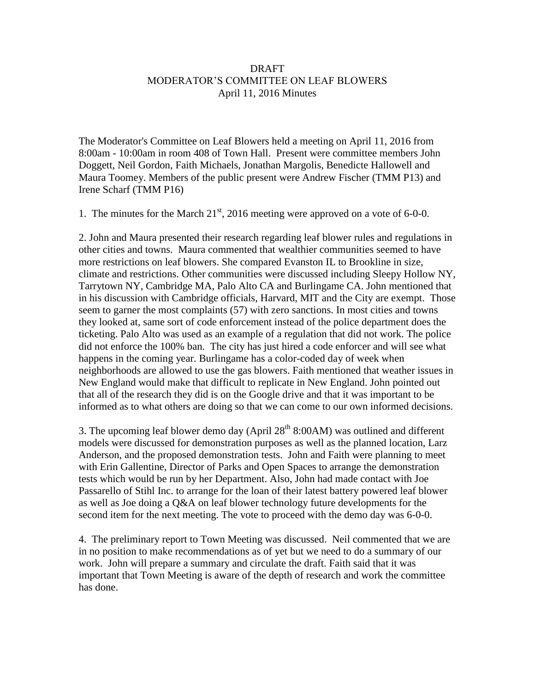## DRAFT MODERATOR'S COMMITTEE ON LEAF BLOWERS April 11, 2016 Minutes

The Moderator's Committee on Leaf Blowers held a meeting on April 11, 2016 from 8:00am - 10:00am in room 408 of Town Hall. Present were committee members John Doggett, Neil Gordon, Faith Michaels, Jonathan Margolis, Benedicte Hallowell and Maura Toomey. Members of the public present were Andrew Fischer (TMM P13) and Irene Scharf (TMM P16)

1. The minutes for the March  $21<sup>st</sup>$ , 2016 meeting were approved on a vote of 6-0-0.

2. John and Maura presented their research regarding leaf blower rules and regulations in other cities and towns. Maura commented that wealthier communities seemed to have more restrictions on leaf blowers. She compared Evanston IL to Brookline in size, climate and restrictions. Other communities were discussed including Sleepy Hollow NY, Tarrytown NY, Cambridge MA, Palo Alto CA and Burlingame CA. John mentioned that in his discussion with Cambridge officials, Harvard, MIT and the City are exempt. Those seem to garner the most complaints (57) with zero sanctions. In most cities and towns they looked at, same sort of code enforcement instead of the police department does the ticketing. Palo Alto was used as an example of a regulation that did not work. The police did not enforce the 100% ban. The city has just hired a code enforcer and will see what happens in the coming year. Burlingame has a color-coded day of week when neighborhoods are allowed to use the gas blowers. Faith mentioned that weather issues in New England would make that difficult to replicate in New England. John pointed out that all of the research they did is on the Google drive and that it was important to be informed as to what others are doing so that we can come to our own informed decisions.

3. The upcoming leaf blower demo day (April  $28<sup>th</sup> 8:00AM$ ) was outlined and different models were discussed for demonstration purposes as well as the planned location, Larz Anderson, and the proposed demonstration tests. John and Faith were planning to meet with Erin Gallentine, Director of Parks and Open Spaces to arrange the demonstration tests which would be run by her Department. Also, John had made contact with Joe Passarello of Stihl Inc. to arrange for the loan of their latest battery powered leaf blower as well as Joe doing a Q&A on leaf blower technology future developments for the second item for the next meeting. The vote to proceed with the demo day was 6-0-0.

4. The preliminary report to Town Meeting was discussed. Neil commented that we are in no position to make recommendations as of yet but we need to do a summary of our work. John will prepare a summary and circulate the draft. Faith said that it was important that Town Meeting is aware of the depth of research and work the committee has done.